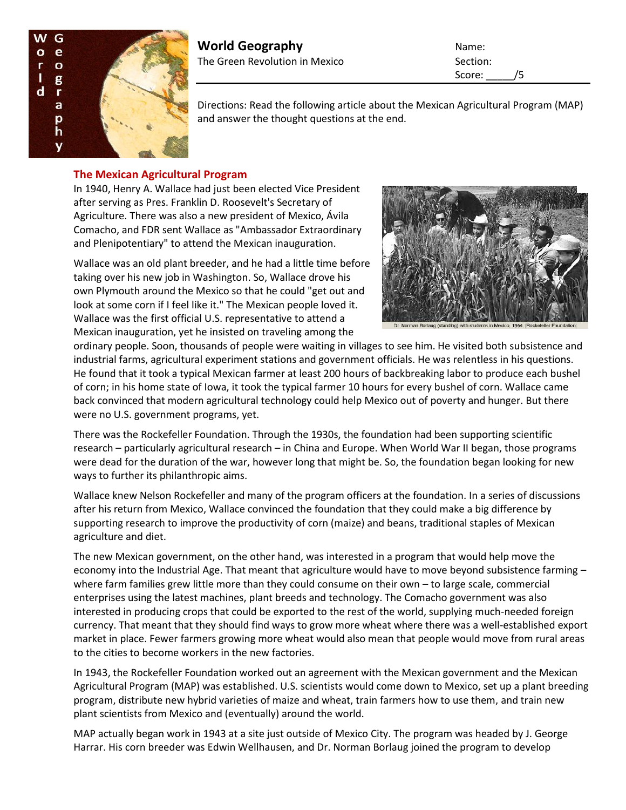

# **World Geography** Name: The Green Revolution in Mexico Section:

Score: /5

Directions: Read the following article about the Mexican Agricultural Program (MAP) and answer the thought questions at the end.

## **The Mexican Agricultural Program**

In 1940, Henry A. Wallace had just been elected Vice President after serving as Pres. Franklin D. Roosevelt's Secretary of Agriculture. There was also a new president of Mexico, Ávila Comacho, and FDR sent Wallace as "Ambassador Extraordinary and Plenipotentiary" to attend the Mexican inauguration.

Wallace was an old plant breeder, and he had a little time before taking over his new job in Washington. So, Wallace drove his own Plymouth around the Mexico so that he could "get out and look at some corn if I feel like it." The Mexican people loved it. Wallace was the first official U.S. representative to attend a Mexican inauguration, yet he insisted on traveling among the



ordinary people. Soon, thousands of people were waiting in villages to see him. He visited both subsistence and industrial farms, agricultural experiment stations and government officials. He was relentless in his questions. He found that it took a typical Mexican farmer at least 200 hours of backbreaking labor to produce each bushel of corn; in his home state of Iowa, it took the typical farmer 10 hours for every bushel of corn. Wallace came back convinced that modern agricultural technology could help Mexico out of poverty and hunger. But there were no U.S. government programs, yet.

There was the Rockefeller Foundation. Through the 1930s, the foundation had been supporting scientific research – particularly agricultural research – in China and Europe. When World War II began, those programs were dead for the duration of the war, however long that might be. So, the foundation began looking for new ways to further its philanthropic aims.

Wallace knew Nelson Rockefeller and many of the program officers at the foundation. In a series of discussions after his return from Mexico, Wallace convinced the foundation that they could make a big difference by supporting research to improve the productivity of corn (maize) and beans, traditional staples of Mexican agriculture and diet.

The new Mexican government, on the other hand, was interested in a program that would help move the economy into the Industrial Age. That meant that agriculture would have to move beyond subsistence farming – where farm families grew little more than they could consume on their own - to large scale, commercial enterprises using the latest machines, plant breeds and technology. The Comacho government was also interested in producing crops that could be exported to the rest of the world, supplying much-needed foreign currency. That meant that they should find ways to grow more wheat where there was a well-established export market in place. Fewer farmers growing more wheat would also mean that people would move from rural areas to the cities to become workers in the new factories.

In 1943, the Rockefeller Foundation worked out an agreement with the Mexican government and the Mexican Agricultural Program (MAP) was established. U.S. scientists would come down to Mexico, set up a plant breeding program, distribute new hybrid varieties of maize and wheat, train farmers how to use them, and train new plant scientists from Mexico and (eventually) around the world.

MAP actually began work in 1943 at a site just outside of Mexico City. The program was headed by J. George Harrar. His corn breeder was Edwin Wellhausen, and Dr. Norman Borlaug joined the program to develop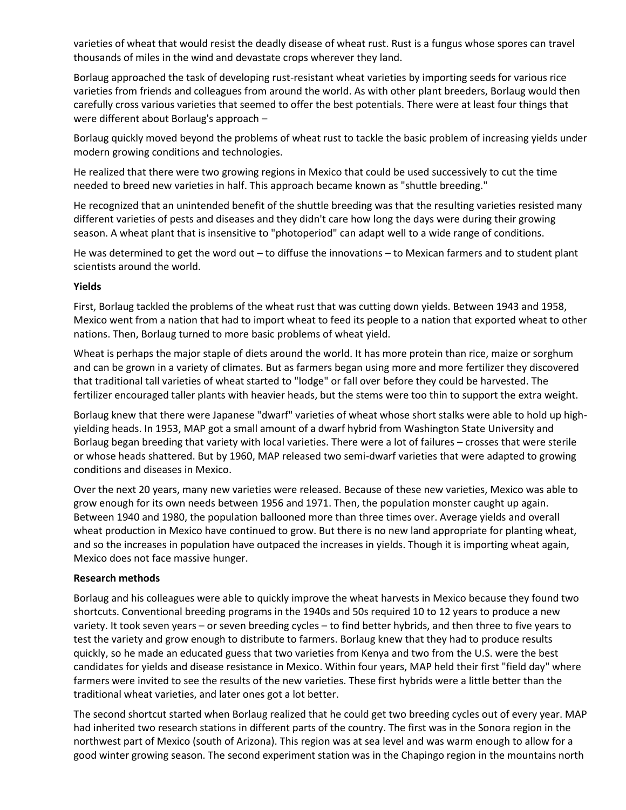varieties of wheat that would resist the deadly disease of wheat rust. Rust is a fungus whose spores can travel thousands of miles in the wind and devastate crops wherever they land.

Borlaug approached the task of developing rust-resistant wheat varieties by importing seeds for various rice varieties from friends and colleagues from around the world. As with other plant breeders, Borlaug would then carefully cross various varieties that seemed to offer the best potentials. There were at least four things that were different about Borlaug's approach –

Borlaug quickly moved beyond the problems of wheat rust to tackle the basic problem of increasing yields under modern growing conditions and technologies.

He realized that there were two growing regions in Mexico that could be used successively to cut the time needed to breed new varieties in half. This approach became known as "shuttle breeding."

He recognized that an unintended benefit of the shuttle breeding was that the resulting varieties resisted many different varieties of pests and diseases and they didn't care how long the days were during their growing season. A wheat plant that is insensitive to "photoperiod" can adapt well to a wide range of conditions.

He was determined to get the word out – to diffuse the innovations – to Mexican farmers and to student plant scientists around the world.

#### **Yields**

First, Borlaug tackled the problems of the wheat rust that was cutting down yields. Between 1943 and 1958, Mexico went from a nation that had to import wheat to feed its people to a nation that exported wheat to other nations. Then, Borlaug turned to more basic problems of wheat yield.

Wheat is perhaps the major staple of diets around the world. It has more protein than rice, maize or sorghum and can be grown in a variety of climates. But as farmers began using more and more fertilizer they discovered that traditional tall varieties of wheat started to "lodge" or fall over before they could be harvested. The fertilizer encouraged taller plants with heavier heads, but the stems were too thin to support the extra weight.

Borlaug knew that there were Japanese "dwarf" varieties of wheat whose short stalks were able to hold up highyielding heads. In 1953, MAP got a small amount of a dwarf hybrid from Washington State University and Borlaug began breeding that variety with local varieties. There were a lot of failures – crosses that were sterile or whose heads shattered. But by 1960, MAP released two semi-dwarf varieties that were adapted to growing conditions and diseases in Mexico.

Over the next 20 years, many new varieties were released. Because of these new varieties, Mexico was able to grow enough for its own needs between 1956 and 1971. Then, the population monster caught up again. Between 1940 and 1980, the population ballooned more than three times over. Average yields and overall wheat production in Mexico have continued to grow. But there is no new land appropriate for planting wheat, and so the increases in population have outpaced the increases in yields. Though it is importing wheat again, Mexico does not face massive hunger.

#### **Research methods**

Borlaug and his colleagues were able to quickly improve the wheat harvests in Mexico because they found two shortcuts. Conventional breeding programs in the 1940s and 50s required 10 to 12 years to produce a new variety. It took seven years – or seven breeding cycles – to find better hybrids, and then three to five years to test the variety and grow enough to distribute to farmers. Borlaug knew that they had to produce results quickly, so he made an educated guess that two varieties from Kenya and two from the U.S. were the best candidates for yields and disease resistance in Mexico. Within four years, MAP held their first "field day" where farmers were invited to see the results of the new varieties. These first hybrids were a little better than the traditional wheat varieties, and later ones got a lot better.

The second shortcut started when Borlaug realized that he could get two breeding cycles out of every year. MAP had inherited two research stations in different parts of the country. The first was in the Sonora region in the northwest part of Mexico (south of Arizona). This region was at sea level and was warm enough to allow for a good winter growing season. The second experiment station was in the Chapingo region in the mountains north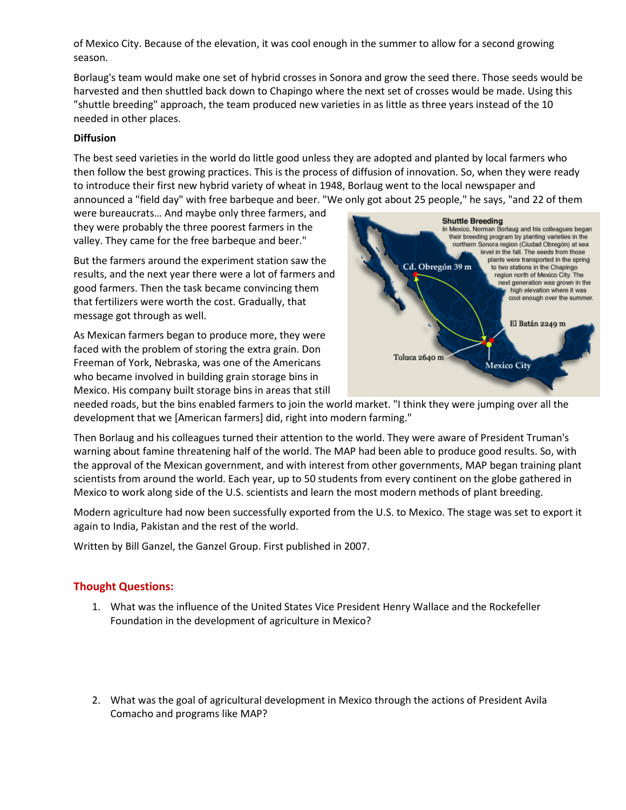of Mexico City. Because of the elevation, it was cool enough in the summer to allow for a second growing season.

Borlaug's team would make one set of hybrid crosses in Sonora and grow the seed there. Those seeds would be harvested and then shuttled back down to Chapingo where the next set of crosses would be made. Using this "shuttle breeding" approach, the team produced new varieties in as little as three years instead of the 10 needed in other places.

### **Diffusion**

The best seed varieties in the world do little good unless they are adopted and planted by local farmers who then follow the best growing practices. This is the process of diffusion of innovation. So, when they were ready to introduce their first new hybrid variety of wheat in 1948, Borlaug went to the local newspaper and announced a "field day" with free barbeque and beer. "We only got about 25 people," he says, "and 22 of them

were bureaucrats… And maybe only three farmers, and they were probably the three poorest farmers in the valley. They came for the free barbeque and beer."

But the farmers around the experiment station saw the results, and the next year there were a lot of farmers and good farmers. Then the task became convincing them that fertilizers were worth the cost. Gradually, that message got through as well.

As Mexican farmers began to produce more, they were faced with the problem of storing the extra grain. Don Freeman of York, Nebraska, was one of the Americans who became involved in building grain storage bins in Mexico. His company built storage bins in areas that still



needed roads, but the bins enabled farmers to join the world market. "I think they were jumping over all the development that we [American farmers] did, right into modern farming."

Then Borlaug and his colleagues turned their attention to the world. They were aware of President Truman's warning about famine threatening half of the world. The MAP had been able to produce good results. So, with the approval of the Mexican government, and with interest from other governments, MAP began training plant scientists from around the world. Each year, up to 50 students from every continent on the globe gathered in Mexico to work along side of the U.S. scientists and learn the most modern methods of plant breeding.

Modern agriculture had now been successfully exported from the U.S. to Mexico. The stage was set to export it again to India, Pakistan and the rest of the world.

Written by Bill Ganzel, the Ganzel Group. First published in 2007.

## **Thought Questions:**

- 1. What was the influence of the United States Vice President Henry Wallace and the Rockefeller Foundation in the development of agriculture in Mexico?
- 2. What was the goal of agricultural development in Mexico through the actions of President Avila Comacho and programs like MAP?